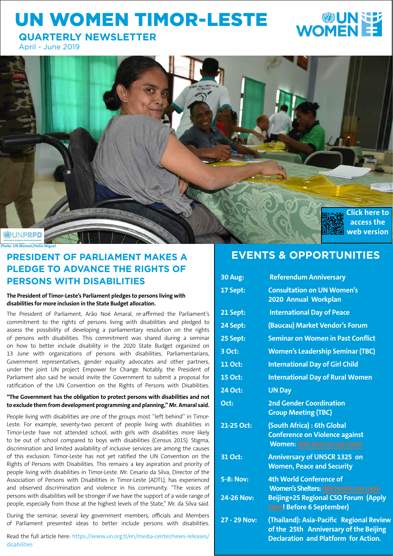## UN WOMEN TIMOR-LESTE

# **WOMENEE**

**QUARTERLY NEWSLETTER**

April - June 2019



## **PRESIDENT OF PARLIAMENT MAKES A PLEDGE TO ADVANCE THE RIGHTS OF PERSONS WITH DISABILITIES**

**The President of Timor-Leste's Parliament pledges to persons living with disabilities for more inclusion in the State Budget allocation.**

The President of Parliament, Arão Noé Amaral, re-affirmed the Parliament's commitment to the rights of persons living with disabilities and pledged to assess the possibility of developing a parliamentary resolution on the rights of persons with disabilities. This commitment was shared during a seminar on how to better include disability in the 2020 State Budget organized on 13 June with organizations of persons with disabilities, Parliamentarians, Government representatives, gender equality advocates and other partners, under the joint UN project Empower for Change. Notably, the President of Parliament also said he would invite the Government to submit a proposal for ratification of the UN Convention on the Rights of Persons with Disabilities.

#### **"The Government has the obligation to protect persons with disabilities and not to exclude them from development programming and planning," Mr. Amaral said.**

People living with disabilities are one of the groups most "left behind" in Timor-Leste. For example, seventy-two percent of people living with disabilities in Timor-Leste have not attended school, with girls with disabilities more likely to be out of school compared to boys with disabilities (Census 2015). Stigma, discrimination and limited availability of inclusive services are among the causes of this exclusion. Timor-Leste has not yet ratified the UN Convention on the Rights of Persons with Disabilities. This remains a key aspiration and priority of people living with disabilities in Timor-Leste. Mr. Cesario da Silva, Director of the Association of Persons with Disabilities in Timor-Leste (ADTL), has experienced and observed discrimination and violence in his community. "The voices of persons with disabilities will be stronger if we have the support of a wide range of people, especially from those at the highest levels of the State," Mr. da Silva said.

During the seminar, several key government members, officials and Members of Parliament presented ideas to better include persons with disabilities.

Read the full article here: https://www.un.org.tl/en/media-center/news-releases/ disabilities

## **EVENTS & OPPORTUNITIES**

| <b>30 Aug:</b>    | <b>Referendum Anniversary</b>                                                                                                     |  |  |  |
|-------------------|-----------------------------------------------------------------------------------------------------------------------------------|--|--|--|
| 17 Sept:          | <b>Consultation on UN Women's</b><br>2020 Annual Workplan                                                                         |  |  |  |
| 21 Sept:          | <b>International Day of Peace</b>                                                                                                 |  |  |  |
| 24 Sept:          | (Baucau) Market Vendor's Forum                                                                                                    |  |  |  |
| 25 Sept:          | <b>Seminar on Women in Past Conflict</b>                                                                                          |  |  |  |
| 3 Oct:            | <b>Women's Leadership Seminar (TBC)</b>                                                                                           |  |  |  |
| <b>11 Oct:</b>    | <b>International Day of Girl Child</b>                                                                                            |  |  |  |
| <b>15 Oct:</b>    | <b>International Day of Rural Women</b>                                                                                           |  |  |  |
| 24 Oct:           | <b>UN Day</b>                                                                                                                     |  |  |  |
| Oct:              | <b>2nd Gender Coordination</b><br><b>Group Meeting (TBC)</b>                                                                      |  |  |  |
| 21-25 Oct:        | (South Africa) : 6th Global<br><b>Conference on Violence against</b><br>Women: click here to see more                             |  |  |  |
| 31 Oct:           | <b>Anniversary of UNSCR 1325 on</b><br><b>Women, Peace and Security</b>                                                           |  |  |  |
| <b>5-8: Nov:</b>  | <b>4th World Conference of</b><br>Women's Shelters: click here to see more                                                        |  |  |  |
| <b>24-26 Nov:</b> | Beijing+25 Regional CSO Forum (Apply<br><b>Here! Before 6 September)</b>                                                          |  |  |  |
| 27 - 29 Nov:      | (Thailand): Asia-Pacific Regional Review<br>of the 25th Anniversary of the Beijing<br><b>Declaration and Platform for Action.</b> |  |  |  |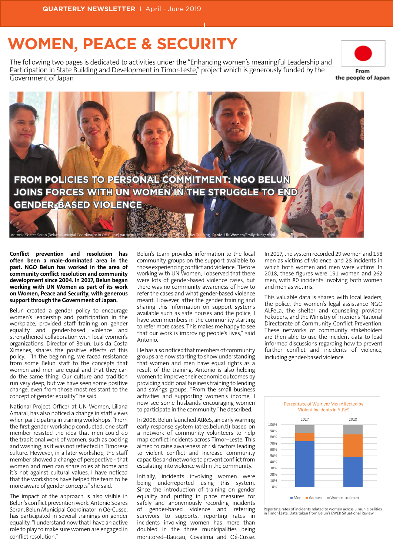## **WOMEN, PEACE & SECURITY**

The following two pages is dedicated to activities under the "Enhancing women's meaningful Leadership and Participation in State Building and Development in Timor-Leste," project which is generously funded by the Government of Japan



the people of Japan



**Conflict prevention and resolution has often been a male-dominated area in the past. NGO Belun has worked in the area of community conflict resolution and community development since 2004. In 2017, Belun began working with UN Women as part of its work on Women, Peace and Security, with generous support through the Government of Japan.** 

Belun created a gender policy to encourage women's leadership and participation in the workplace, provided staff training on gender equality and gender-based violence and strengthened collaboration with local women's organizations. Director of Belun, Luis da Costa Ximenes, shares the positive effects of this policy. "In the beginning, we faced resistance from some Belun staff to the concepts that women and men are equal and that they can do the same thing. Our culture and tradition run very deep, but we have seen some positive change, even from those most resistant to the concept of gender equality" he said.

National Project Officer at UN Women, Liliana Amaral, has also noticed a change in staff views when participating in training workshops. "From the first gender workshop conducted, one staff member resisted the idea that men could do the traditional work of women, such as cooking and washing, as it was not reflected in Timorese culture. However, in a later workshop, the staff member showed a change of perspective - that women and men can share roles at home and it's not against cultural values. I have noticed that the workshops have helped the team to be more aware of gender concepts" she said.

The impact of the approach is also visible in Belun's conflict prevention work. Antonio Soares Seran, Belun Municipal Coordinator in Oé-Cusse, has participated in several trainings on gender equality. "I understand now that I have an active role to play to make sure women are engaged in conflict resolution."

Belun's team provides information to the local community groups on the support available to those experiencing conflict and violence. "Before working with UN Women, I observed that there were lots of gender-based violence cases, but there was no community awareness of how to refer the cases and what gender-based violence meant. However, after the gender training and sharing this information on support systems available such as safe houses and the police, I have seen members in the community starting to refer more cases. This makes me happy to see that our work is improving people's lives," said Antonio.

He has also noticed that members of community groups are now starting to show understanding that women and men have equal rights as a result of the training. Antonio is also helping women to improve their economic outcomes by providing additional business training to lending and savings groups. "From the small business activities and supporting women's income, I now see some husbands encouraging women to participate in the community," he described.

In 2008, Belun launched AtReS, an early warning early response system (atres.belun.tl) based on a network of community volunteers to help map conflict incidents across Timor–Leste. This aimed to raise awareness of risk factors leading to violent conflict and increase community capacities and networks to prevent conflict from escalating into violence within the community.

Initially, incidents involving women were being underreported using this system. Since the introduction of training on gender equality and putting in place measures for safely and anonymously recording incidents of gender-based violence and referring survivors to supports, reporting rates in incidents involving women has more than doubled in the three municipalities being monitored–Baucau, Covalima and Oé-Cusse.

In 2017, the system recorded 29 women and 158 men as victims of violence, and 28 incidents in which both women and men were victims. In 2018, these figures were 191 women and 262 men, with 80 incidents involving both women and men as victims.

This valuable data is shared with local leaders, the police, the women's legal assistance NGO ALFeLa, the shelter and counseling provider Fokupers, and the Ministry of Interior's National Directorate of Community Conflict Prevention. These networks of community stakeholders are then able to use the incident data to lead informed discussions regarding how to prevent further conflict and incidents of violence, including gender-based violence.



Reporting rates of incidents related to women across 3 municipalities in Timor-Leste. Data taken from Belun's EWER Situational Reviews.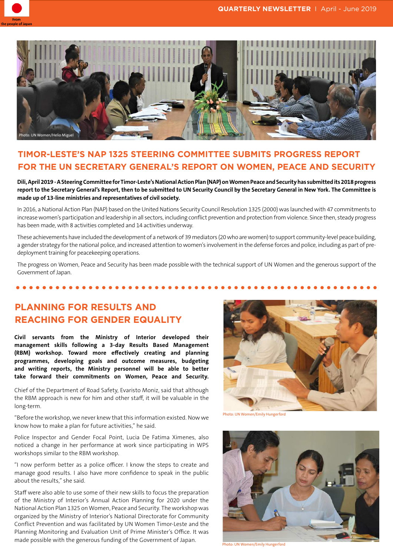



## **TIMOR-LESTE'S NAP 1325 STEERING COMMITTEE SUBMITS PROGRESS REPORT FOR THE UN SECRETARY GENERAL'S REPORT ON WOMEN, PEACE AND SECURITY**

**Dili, April 2019 - A Steering Committee for Timor-Leste's National Action Plan (NAP) on Women Peace and Security has submitted its 2018 progress report to the Secretary General's Report, then to be submitted to UN Security Council by the Secretary General in New York. The Committee is made up of 13-line ministries and representatives of civil society.** 

In 2016, a National Action Plan (NAP) based on the United Nations Security Council Resolution 1325 (2000) was launched with 47 commitments to increase women's participation and leadership in all sectors, including conflict prevention and protection from violence. Since then, steady progress has been made, with 8 activities completed and 14 activities underway.

These achievements have included the development of a network of 39 mediators (20 who are women) to support community-level peace building, a gender strategy for the national police, and increased attention to women's involvement in the defense forces and police, including as part of predeployment training for peacekeeping operations.

The progress on Women, Peace and Security has been made possible with the technical support of UN Women and the generous support of the Government of Japan.

## **PLANNING FOR RESULTS AND REACHING FOR GENDER EQUALITY**

**Civil servants from the Ministry of Interior developed their management skills following a 3-day Results Based Management (RBM) workshop. Toward more effectively creating and planning programmes, developing goals and outcome measures, budgeting and writing reports, the Ministry personnel will be able to better take forward their commitments on Women, Peace and Security.**

.....

Chief of the Department of Road Safety, Evaristo Moniz, said that although the RBM approach is new for him and other staff, it will be valuable in the long-term.

"Before the workshop, we never knew that this information existed. Now we know how to make a plan for future activities," he said.

Police Inspector and Gender Focal Point, Lucia De Fatima Ximenes, also noticed a change in her performance at work since participating in WPS workshops similar to the RBM workshop.

"I now perform better as a police officer. I know the steps to create and manage good results. I also have more confidence to speak in the public about the results," she said.

Staff were also able to use some of their new skills to focus the preparation of the Ministry of Interior's Annual Action Planning for 2020 under the National Action Plan 1325 on Women, Peace and Security. The workshop was organized by the Ministry of Interior's National Directorate for Community Conflict Prevention and was facilitated by UN Women Timor-Leste and the Planning Monitoring and Evaluation Unit of Prime Minister's Office. It was made possible with the generous funding of the Government of Japan.



Photo: UN Women/Emily Hungerford



Photo: UN Women/Emily Hungerford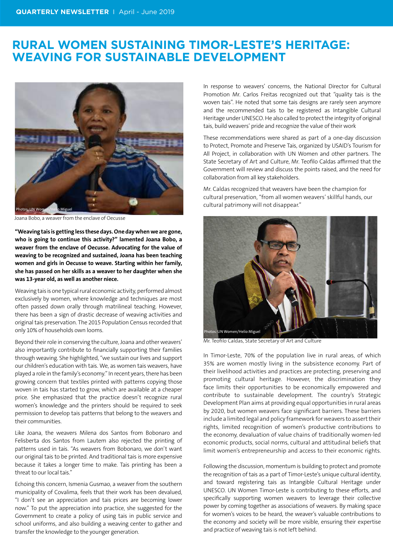## **RURAL WOMEN SUSTAINING TIMOR-LESTE'S HERITAGE: WEAVING FOR SUSTAINABLE DEVELOPMENT**



Joana Bobo, a weaver from the enclave of Oecusse

**"Weaving tais is getting less these days. One day when we are gone, who is going to continue this activity?" lamented Joana Bobo, a weaver from the enclave of Oecusse. Advocating for the value of weaving to be recognized and sustained, Joana has been teaching women and girls in Oecusse to weave. Starting within her family, she has passed on her skills as a weaver to her daughter when she was 13-year old, as well as another niece.** 

Weaving tais is one typical rural economic activity, performed almost exclusively by women, where knowledge and techniques are most often passed down orally through matrilineal teaching. However, there has been a sign of drastic decrease of weaving activities and original tais preservation. The 2015 Population Census recorded that only 10% of households own looms.

Beyond their role in conserving the culture, Joana and other weavers' also importantly contribute to financially supporting their families through weaving. She highlighted, "we sustain our lives and support our children's education with tais. We, as women tais weavers, have played a role in the family's economy." In recent years, there has been growing concern that textiles printed with patterns copying those woven in tais has started to grow, which are available at a cheaper price. She emphasized that the practice doesn't recognize rural women's knowledge and the printers should be required to seek permission to develop tais patterns that belong to the weavers and their communities.

Like Joana, the weavers Milena dos Santos from Bobonaro and Felisberta dos Santos from Lautem also rejected the printing of patterns used in tais. "As weavers from Bobonaro, we don't want our original tais to be printed. And traditional tais is more expensive because it takes a longer time to make. Tais printing has been a threat to our local tais."

Echoing this concern, Ismenia Gusmao, a weaver from the southern municipality of Covalima, feels that their work has been devalued, "I don't see an appreciation and tais prices are becoming lower now." To put the appreciation into practice, she suggested for the Government to create a policy of using tais in public service and school uniforms, and also building a weaving center to gather and transfer the knowledge to the younger generation.

In response to weavers' concerns, the National Director for Cultural Promotion Mr. Carlos Freitas recognized out that "quality tais is the woven tais". He noted that some tais designs are rarely seen anymore and the recommended tais to be registered as Intangible Cultural Heritage under UNESCO. He also called to protect the integrity of original tais, build weavers' pride and recognize the value of their work

These recommendations were shared as part of a one-day discussion to Protect, Promote and Preserve Tais, organized by USAID's Tourism for All Project, in collaboration with UN Women and other partners. The State Secretary of Art and Culture, Mr. Teofilo Caldas affirmed that the Government will review and discuss the points raised, and the need for collaboration from all key stakeholders.

Mr. Caldas recognized that weavers have been the champion for cultural preservation, "from all women weavers' skillful hands, our cultural patrimony will not disappear."



Mr. Teofilo Caldas, State Secretary of Art and Culture

In Timor-Leste, 70% of the population live in rural areas, of which 35% are women mostly living in the subsistence economy. Part of their livelihood activities and practices are protecting, preserving and promoting cultural heritage. However, the discrimination they face limits their opportunities to be economically empowered and contribute to sustainable development. The country's Strategic Development Plan aims at providing equal opportunities in rural areas by 2020, but women weavers face significant barriers. These barriers include a limited legal and policy framework for weavers to assert their rights, limited recognition of women's productive contributions to the economy, devaluation of value chains of traditionally women-led economic products, social norms, cultural and attitudinal beliefs that limit women's entrepreneurship and access to their economic rights.

Following the discussion, momentum is building to protect and promote the recognition of tais as a part of Timor-Leste's unique cultural identity, and toward registering tais as Intangible Cultural Heritage under UNESCO. UN Women Timor-Leste is contributing to these efforts, and specifically supporting women weavers to leverage their collective power by coming together as associations of weavers. By making space for women's voices to be heard, the weaver's valuable contributions to the economy and society will be more visible, ensuring their expertise and practice of weaving tais is not left behind.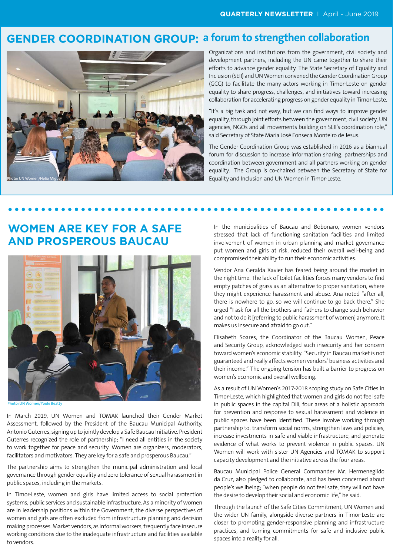## **GENDER COORDINATION GROUP: a forum to strengthen collaboration**



Organizations and institutions from the government, civil society and development partners, including the UN came together to share their efforts to advance gender equality. The State Secretary of Equality and Inclusion (SEII) and UN Women convened the Gender Coordination Group (GCG) to facilitate the many actors working in Timor-Leste on gender equality to share progress, challenges, and initiatives toward increasing collaboration for accelerating progress on gender equality in Timor-Leste.

"It's a big task and not easy, but we can find ways to improve gender equality, through joint efforts between the government, civil society, UN agencies, NGOs and all movements building on SEII's coordination role," said Secretary of State Maria José Fonseca Monteiro de Jesus.

The Gender Coordination Group was established in 2016 as a biannual forum for discussion to increase information sharing, partnerships and coordination between government and all partners working on gender equality. The Group is co-chaired between the Secretary of State for Equality and Inclusion and UN Women in Timor-Leste.

## **WOMEN ARE KEY FOR A SAFE AND PROSPEROUS BAUCAU**



Photo: UN Women/Youle Beatty

In March 2019, UN Women and TOMAK launched their Gender Market Assessment, followed by the President of the Baucau Municipal Authority, Antonio Guterres, signing up to jointly develop a Safe Baucau Initiative. President Guterres recognized the role of partnership; "I need all entities in the society to work together for peace and security. Women are organizers, moderators, facilitators and motivators. They are key for a safe and prosperous Baucau."

The partnership aims to strengthen the municipal administration and local governance through gender equality and zero tolerance of sexual harassment in public spaces, including in the markets.

In Timor-Leste, women and girls have limited access to social protection systems, public services and sustainable infrastructure. As a minority of women are in leadership positions within the Government, the diverse perspectives of women and girls are often excluded from infrastructure planning and decision making processes. Market vendors, as informal workers, frequently face insecure working conditions due to the inadequate infrastructure and facilities available to vendors.

In the municipalities of Baucau and Bobonaro, women vendors stressed that lack of functioning sanitation facilities and limited involvement of women in urban planning and market governance put women and girls at risk, reduced their overall well-being and compromised their ability to run their economic activities.

Vendor Ana Geralda Xavier has feared being around the market in the night time. The lack of toilet facilities forces many vendors to find empty patches of grass as an alternative to proper sanitation, where they might experience harassment and abuse. Ana noted "after all, there is nowhere to go, so we will continue to go back there." She urged "I ask for all the brothers and fathers to change such behavior and not to do it [referring to public harassment of women] anymore. It makes us insecure and afraid to go out."

Elisabeth Soares, the Coordinator of the Baucau Women, Peace and Security Group, acknowledged such insecurity and her concern toward women's economic stability. "Security in Baucau market is not guaranteed and really affects women vendors' business activities and their income." The ongoing tension has built a barrier to progress on women's economic and overall wellbeing.

As a result of UN Women's 2017-2018 scoping study on Safe Cities in Timor-Leste, which highlighted that women and girls do not feel safe in public spaces in the capital Dili, four areas of a holistic approach for prevention and response to sexual harassment and violence in public spaces have been identified. These involve working through partnership to: transform social norms, strengthen laws and policies, increase investments in safe and viable infrastructure, and generate evidence of what works to prevent violence in public spaces. UN Women will work with sister UN Agencies and TOMAK to support capacity development and the initiative across the four areas.

Baucau Municipal Police General Commander Mr. Hermenegildo da Cruz, also pledged to collaborate, and has been concerned about people's wellbeing; "when people do not feel safe, they will not have the desire to develop their social and economic life," he said.

Through the launch of the Safe Cities Commitment, UN Women and the wider UN family, alongside diverse partners in Timor-Leste are closer to promoting gender-responsive planning and infrastructure practices, and turning commitments for safe and inclusive public spaces into a reality for all.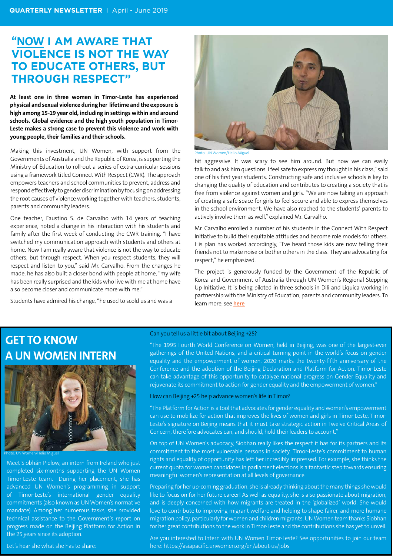## **"NOW I AM AWARE THAT VIOLENCE IS NOT THE WAY TO EDUCATE OTHERS, BUT THROUGH RESPECT"**

**At least one in three women in Timor-Leste has experienced physical and sexual violence during her lifetime and the exposure is high among 15-19 year old, including in settings within and around schools. Global evidence and the high youth population in Timor-Leste makes a strong case to prevent this violence and work with young people, their families and their schools.** 

Making this investment, UN Women, with support from the Governments of Australia and the Republic of Korea, is supporting the Ministry of Education to roll-out a series of extra-curricular sessions using a framework titled Connect With Respect (CWR). The approach empowers teachers and school communities to prevent, address and respond effectively to gender discrimination by focusing on addressing the root causes of violence working together with teachers, students, parents and community leaders.

One teacher, Faustino S. de Carvalho with 14 years of teaching experience, noted a change in his interaction with his students and family after the first week of conducting the CWR training. "I have switched my communication approach with students and others at home. Now I am really aware that violence is not the way to educate others, but through respect. When you respect students, they will respect and listen to you," said Mr. Carvalho. From the changes he made, he has also built a closer bond with people at home, "my wife has been really surprised and the kids who live with me at home have also become closer and communicate more with me."

Students have admired his change, "he used to scold us and was a



Photo: UN Women/Helio Miguel

bit aggressive. It was scary to see him around. But now we can easily talk to and ask him questions. I feel safe to express my thought in his class," said one of his first year students. Constructing safe and inclusive schools is key to changing the quality of education and contributes to creating a society that is free from violence against women and girls. "We are now taking an approach of creating a safe space for girls to feel secure and able to express themselves in the school environment. We have also reached to the students' parents to actively involve them as well," explained Mr. Carvalho.

Mr. Carvalho enrolled a number of his students in the Connect With Respect Initiative to build their equitable attitudes and become role models for others. His plan has worked accordingly, "I've heard those kids are now telling their friends not to make noise or bother others in the class. They are advocating for respect," he emphasized.

The project is generously funded by the Government of the Republic of Korea and Government of Australia through UN Women's Regional Stepping Up Initiative. It is being piloted in three schools in Dili and Liquica working in partnership with the Ministry of Education, parents and community leaders. To learn more, see **[here](https://www2.unwomen.org/-/media/field%20office%20eseasia/docs/publications/2019/01/tl-connect%20with%20respect_project_brief_jan_2019_eng.pdf?la=en&vs=3152)**

## **GET TO KNOW A UN WOMEN INTERN**



Meet Siobhán Pielow, an intern from Ireland who just completed six-months supporting the UN Women Timor-Leste team. During her placement, she has advanced UN Women's programming in support of Timor-Leste's international gender equality commitments (also known as UN Women's normative mandate). Among her numerous tasks, she provided technical assistance to the Government's report on progress made on the Beijing Platform for Action in the 25 years since its adoption.

#### Can you tell us a little bit about Beijing +25?

"The 1995 Fourth World Conference on Women, held in Beijing, was one of the largest-ever gatherings of the United Nations, and a critical turning point in the world's focus on gender equality and the empowerment of women. 2020 marks the twenty-fifth anniversary of the Conference and the adoption of the Beijing Declaration and Platform for Action. Timor-Leste can take advantage of this opportunity to catalyze national progress on Gender Equality and rejuvenate its commitment to action for gender equality and the empowerment of women.'

#### How can Beijing +25 help advance women's life in Timor?

"The Platform for Action is a tool that advocates for gender equality and women's empowerment can use to mobilize for action that improves the lives of women and girls in Timor-Leste. Timor-Leste's signature on Beijing means that it must take strategic action in Twelve Critical Areas of Concern, therefore advocates can, and should, hold their leaders to account."

On top of UN Women's advocacy, Siobhan really likes the respect it has for its partners and its commitment to the most vulnerable persons in society. Timor-Leste's commitment to human rights and equality of opportunity has left her incredibly impressed. For example, she thinks the current quota for women candidates in parliament elections is a fantastic step towards ensuring meaningful women's representation at all levels of governance.

Preparing for her up-coming graduation, she is already thinking about the many things she would like to focus on for her future career! As well as equality, she is also passionate about migration, and is deeply concerned with how migrants are treated in the 'globalized' world. She would love to contribute to improving migrant welfare and helping to shape fairer, and more humane migration policy, particularly for women and children migrants. UN Women team thanks Siobhan for her great contributions to the work in Timor-Leste and the contributions she has yet to unveil.

Are you interested to Intern with UN Women Timor-Leste? See opportunities to join our team here: https://asiapacific.unwomen.org/en/about-us/jobs

Let's hear she what she has to share: